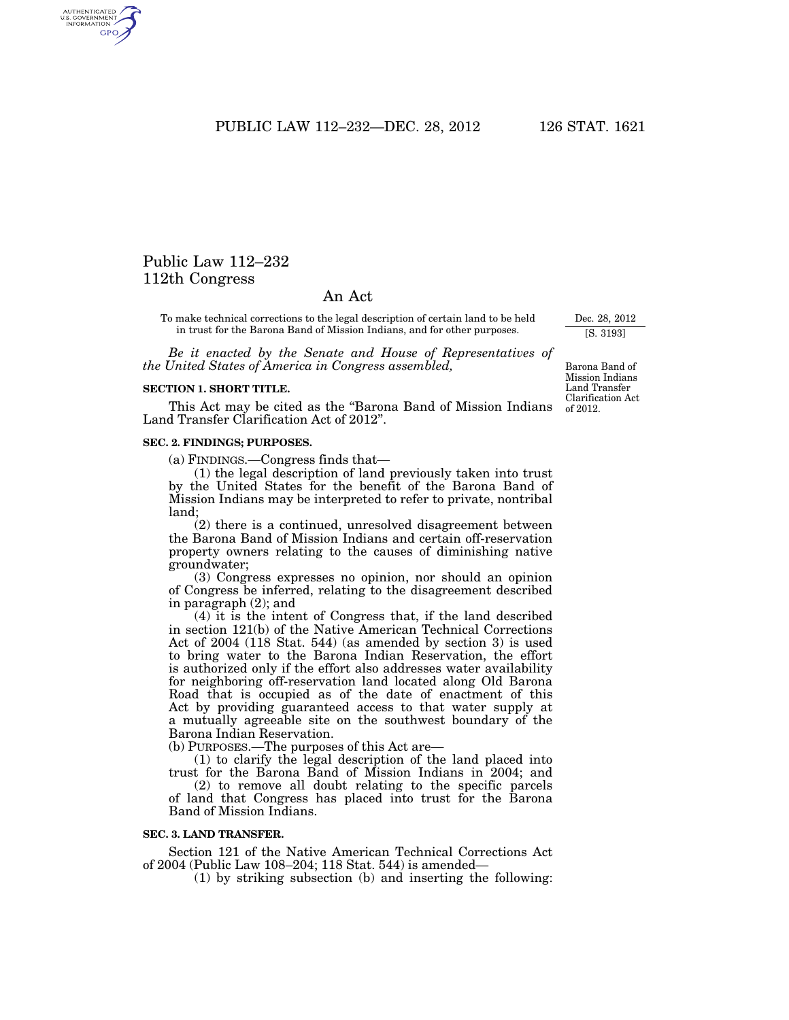PUBLIC LAW 112–232—DEC. 28, 2012 126 STAT. 1621

# Public Law 112–232 112th Congress

AUTHENTICATED<br>U.S. GOVERNMENT<br>INFORMATION GPO

## An Act

To make technical corrections to the legal description of certain land to be held in trust for the Barona Band of Mission Indians, and for other purposes.

*Be it enacted by the Senate and House of Representatives of the United States of America in Congress assembled,* 

### **SECTION 1. SHORT TITLE.**

This Act may be cited as the ''Barona Band of Mission Indians Land Transfer Clarification Act of 2012''.

#### **SEC. 2. FINDINGS; PURPOSES.**

(a) FINDINGS.—Congress finds that—

(1) the legal description of land previously taken into trust by the United States for the benefit of the Barona Band of Mission Indians may be interpreted to refer to private, nontribal land;

(2) there is a continued, unresolved disagreement between the Barona Band of Mission Indians and certain off-reservation property owners relating to the causes of diminishing native groundwater;

(3) Congress expresses no opinion, nor should an opinion of Congress be inferred, relating to the disagreement described in paragraph (2); and

(4) it is the intent of Congress that, if the land described in section 121(b) of the Native American Technical Corrections Act of 2004 (118 Stat. 544) (as amended by section 3) is used to bring water to the Barona Indian Reservation, the effort is authorized only if the effort also addresses water availability for neighboring off-reservation land located along Old Barona Road that is occupied as of the date of enactment of this Act by providing guaranteed access to that water supply at a mutually agreeable site on the southwest boundary of the Barona Indian Reservation.

(b) PURPOSES.—The purposes of this Act are—

(1) to clarify the legal description of the land placed into trust for the Barona Band of Mission Indians in 2004; and

(2) to remove all doubt relating to the specific parcels of land that Congress has placed into trust for the Barona Band of Mission Indians.

### **SEC. 3. LAND TRANSFER.**

Section 121 of the Native American Technical Corrections Act of 2004 (Public Law 108–204; 118 Stat. 544) is amended—

(1) by striking subsection (b) and inserting the following:

Barona Band of Mission Indians Land Transfer Clarification Act of 2012.

Dec. 28, 2012 [S. 3193]